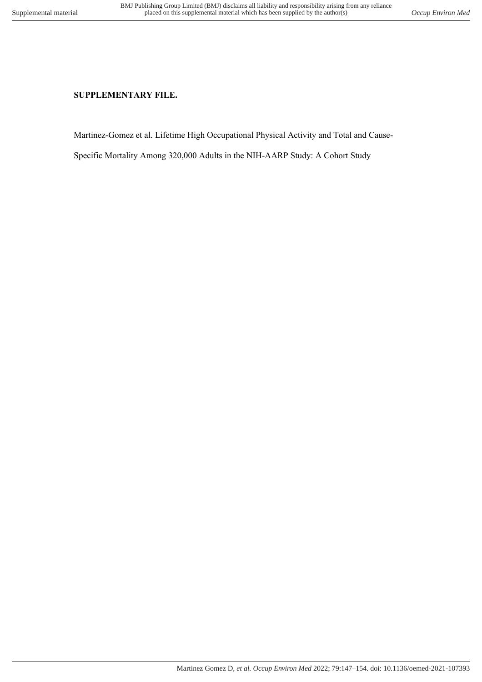## **SUPPLEMENTARY FILE.**

Martinez-Gomez et al. Lifetime High Occupational Physical Activity and Total and Cause-

Specific Mortality Among 320,000 Adults in the NIH-AARP Study: A Cohort Study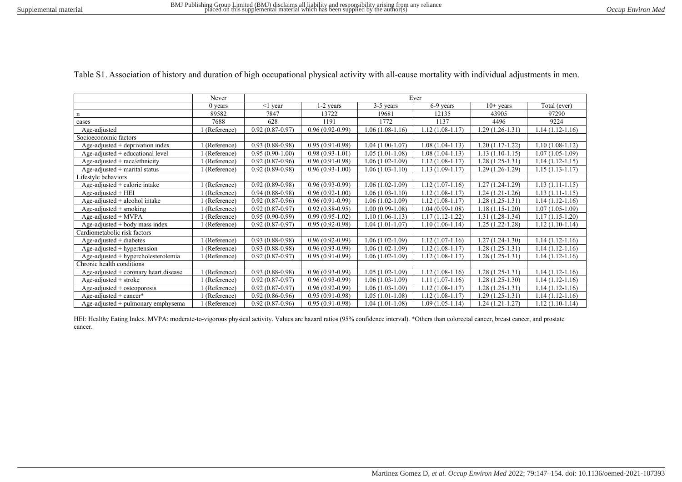|                                         | Never       | Ever              |                     |                   |                   |                   |                   |  |  |
|-----------------------------------------|-------------|-------------------|---------------------|-------------------|-------------------|-------------------|-------------------|--|--|
|                                         | 0 years     | $\leq$ 1 year     | l-2 years           | $3-5$ years       | 6-9 years         | $10+$ years       | Total (ever)      |  |  |
| n                                       | 89582       | 7847              | 13722               | 19681             | 12135             | 43905             | 97290             |  |  |
| cases                                   | 7688        | 628               | 1191                | 1772              | 1137              | 4496              | 9224              |  |  |
| Age-adjusted                            | (Reference) | $0.92(0.87-0.97)$ | $0.96(0.92-0.99)$   | 1.06 (1.08-1.16)  | $1.12(1.08-1.17)$ | $1.29(1.26-1.31)$ | $1.14(1.12-1.16)$ |  |  |
| Socioeconomic factors                   |             |                   |                     |                   |                   |                   |                   |  |  |
| Age-adjusted + deprivation index        | (Reference) | $0.93(0.88-0.98)$ | $0.95(0.91-0.98)$   | $1.04(1.00-1.07)$ | $1.08(1.04-1.13)$ | $1.20(1.17-1.22)$ | $1.10(1.08-1.12)$ |  |  |
| Age-adjusted + educational level        | (Reference) | $0.95(0.90-1.00)$ | $0.98(0.93-1.01)$   | 1.05 (1.01-1.08)  | 1.08 (1.04-1.13)  | $1.13(1.10-1.15)$ | 1.07 (1.05-1.09)  |  |  |
| $Age\text{-}adjusted + race/ethnicity$  | (Reference) | $0.92(0.87-0.96)$ | $0.96(0.91 - 0.98)$ | 1.06 (1.02-1.09)  | $1.12(1.08-1.17)$ | $1.28(1.25-1.31)$ | $1.14(1.12-1.15)$ |  |  |
| $Age\text{-}adjusted + martial status$  | (Reference) | $0.92(0.89-0.98)$ | $0.96(0.93-1.00)$   | $1.06(1.03-1.10)$ | $1.13(1.09-1.17)$ | 1.29 (1.26-1.29)  | $.15(1.13-1.17)$  |  |  |
| Lifestyle behaviors                     |             |                   |                     |                   |                   |                   |                   |  |  |
| Age-adjusted $+$ calorie intake         | (Reference) | $0.92(0.89-0.98)$ | $0.96(0.93-0.99)$   | $1.06(1.02-1.09)$ | $1.12(1.07-1.16)$ | $1.27(1.24-1.29)$ | $1.13(1.11-1.15)$ |  |  |
| Age-adjusted + HEI                      | (Reference) | $0.94(0.88-0.98)$ | $0.96(0.92-1.00)$   | $1.06(1.03-1.10)$ | $1.12(1.08-1.17)$ | $1.24(1.21-1.26)$ | $1.13(1.11-1.15)$ |  |  |
| Age-adjusted $+$ alcohol intake         | (Reference) | $0.92(0.87-0.96)$ | $0.96(0.91-0.99)$   | $1.06(1.02-1.09)$ | $1.12(1.08-1.17)$ | $1.28(1.25-1.31)$ | $1.14(1.12-1.16)$ |  |  |
| Age-adjusted $+$ smoking                | (Reference) | $0.92(0.87-0.97)$ | $0.92(0.88-0.95)$   | $1.00(0.99-1.08)$ | $1.04(0.99-1.08)$ | $1.18(1.15-1.20)$ | 1.07 (1.05-1.09)  |  |  |
| $Age$ -adjusted + MVPA                  | (Reference) | $0.95(0.90-0.99)$ | $0.99(0.95-1.02)$   | $1.10(1.06-1.13)$ | $1.17(1.12-1.22)$ | $1.31(1.28-1.34)$ | 1.17 (1.15-1.20)  |  |  |
| Age-adjusted + body mass index          | (Reference) | $0.92(0.87-0.97)$ | $0.95(0.92-0.98)$   | 1.04 (1.01-1.07)  | $1.10(1.06-1.14)$ | 1.25 (1.22-1.28)  | $.12(1.10-1.14)$  |  |  |
| Cardiometabolic risk factors            |             |                   |                     |                   |                   |                   |                   |  |  |
| $Age\text{-}adjusted + diabetes$        | (Reference) | $0.93(0.88-0.98)$ | $0.96(0.92-0.99)$   | $1.06(1.02-1.09)$ | $1.12(1.07-1.16)$ | $1.27(1.24-1.30)$ | 1.14 (1.12-1.16)  |  |  |
| Age-adjusted + hypertension             | (Reference) | $0.93(0.88-0.98)$ | $0.96(0.93-0.99)$   | 1.06 (1.02-1.09)  | $1.12(1.08-1.17)$ | $1.28(1.25-1.31)$ | $.14(1.12-1.16)$  |  |  |
| Age-adjusted + hypercholesterolemia     | (Reference) | $0.92(0.87-0.97)$ | $0.95(0.91-0.99)$   | 1.06 (1.02-1.09)  | $1.12(1.08-1.17)$ | 1.28 (1.25-1.31)  | 1.14 (1.12-1.16)  |  |  |
| Chronic health conditions               |             |                   |                     |                   |                   |                   |                   |  |  |
| Age-adjusted $+$ coronary heart disease | (Reference) | $0.93(0.88-0.98)$ | $0.96(0.93-0.99)$   | $1.05(1.02-1.09)$ | $1.12(1.08-1.16)$ | $1.28(1.25-1.31)$ | $.14(1.12-1.16)$  |  |  |
| $Age\text{-}adjusted + stroke$          | (Reference) | $0.92(0.87-0.97)$ | $0.96(0.93-0.99)$   | $1.06(1.03-1.09)$ | $1.11(1.07-1.16)$ | $1.28(1.25-1.30)$ | 1.14 (1.12-1.16)  |  |  |
| $Age\text{-}adjusted + osteoporosis$    | (Reference) | $0.92(0.87-0.97)$ | $0.96(0.92-0.99)$   | $1.06(1.03-1.09)$ | $1.12(1.08-1.17)$ | $1.28(1.25-1.31)$ | $1.14(1.12-1.16)$ |  |  |
| Age-adjusted + cancer*                  | (Reference) | $0.92(0.86-0.96)$ | $0.95(0.91 - 0.98)$ | $1.05(1.01-1.08)$ | $1.12(1.08-1.17)$ | $1.29(1.25-1.31)$ | $.14(1.12-1.16)$  |  |  |
| Age-adjusted + pulmonary emphysema      | (Reference) | $0.92(0.87-0.96)$ | $0.95(0.91-0.98)$   | 1.04 (1.01-1.08)  | $1.09(1.05-1.14)$ | 1.24 (1.21-1.27)  | $.12(1.10-1.14)$  |  |  |

Table S1. Association of history and duration of high occupational physical activity with all-cause mortality with individual adjustments in men.

HEI: Healthy Eating Index. MVPA: moderate-to-vigorous physical activity. Values are hazard ratios (95% confidence interval). \*Others than colorectal cancer, breast cancer, and prostate cancer.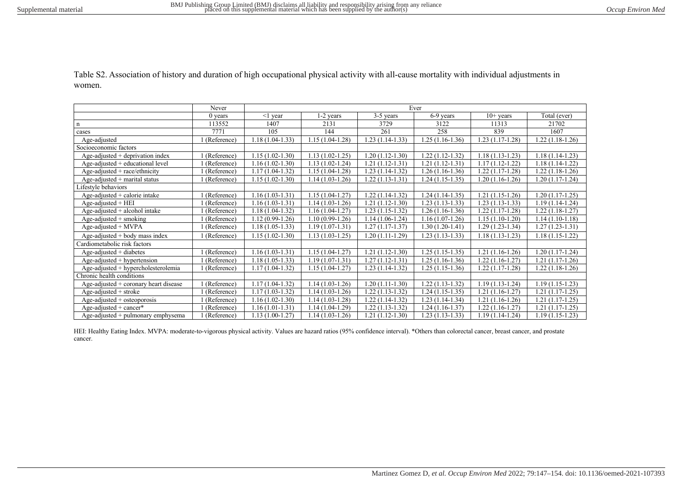Table S2. Association of history and duration of high occupational physical activity with all-cause mortality with individual adjustments in women.

|                                              | Never       | Ever                          |                   |                   |                   |                   |                   |  |  |
|----------------------------------------------|-------------|-------------------------------|-------------------|-------------------|-------------------|-------------------|-------------------|--|--|
|                                              | 0 years     | <1 year                       | 1-2 years         | 3-5 years         | 6-9 years         | $10+$ years       | Total (ever)      |  |  |
| n                                            | 113552      | 1407                          | 2131              | 3729              | 3122              | 11313             | 21702             |  |  |
| cases                                        | 7771        | 105                           | 144               | 261               | 258               | 839               | 1607              |  |  |
| Age-adjusted                                 | (Reference) | $1.18(1.04-1.33)$             | $1.15(1.04-1.28)$ | $1.23(1.14-1.33)$ | $1.25(1.16-1.36)$ | $1.23(1.17-1.28)$ | $1.22(1.18-1.26)$ |  |  |
| Socioeconomic factors                        |             |                               |                   |                   |                   |                   |                   |  |  |
| Age-adjusted $+$ deprivation index           | (Reference) | $1.15(1.02-1.30)$             | $1.13(1.02-1.25)$ | $1.20(1.12-1.30)$ | $1.22(1.12-1.32)$ | $1.18(1.13-1.23)$ | $1.18(1.14-1.23)$ |  |  |
| Age-adjusted $+$ educational level           | (Reference) | $1.16(1.02-1.30)$             | $1.13(1.02-1.24)$ | $1.21(1.12-1.31)$ | 1.21 (1.12-1.31)  | $1.17(1.12-1.22)$ | $1.18(1.14-1.22)$ |  |  |
| Age-adjusted + race/ethnicity                | (Reference) | $1.17(1.04-1.32)$             | $1.15(1.04-1.28)$ | 1.23 (1.14-1.32)  | $1.26(1.16-1.36)$ | $1.22(1.17-1.28)$ | $1.22(1.18-1.26)$ |  |  |
| $Age\text{-}adjusted + martial status$       | (Reference) | $1.15(1.02-1.30)$             | $1.14(1.03-1.26)$ | $1.22(1.13-1.31)$ | $1.24(1.15-1.35)$ | $1.20(1.16-1.26)$ | 1.20 (1.17-1.24)  |  |  |
| Lifestyle behaviors                          |             |                               |                   |                   |                   |                   |                   |  |  |
| Age-adjusted + calorie intake                | (Reference) | $1.16(1.03-1.31)$             | $1.15(1.04-1.27)$ | 1.22 (1.14-1.32)  | 1.24 (1.14-1.35)  | $1.21(1.15-1.26)$ | 1.20 (1.17-1.25)  |  |  |
| $Age$ -adjusted + HEI                        | (Reference) | $1.16(1.03-1.31)$             | $1.14(1.03-1.26)$ | $1.21(1.12-1.30)$ | $1.23(1.13-1.33)$ | $1.23(1.13-1.33)$ | $1.19(1.14-1.24)$ |  |  |
| Age-adjusted $+$ alcohol intake              | (Reference) | $1.18(1.04-1.32)$             | $1.16(1.04-1.27)$ | 1.23 (1.15-1.32)  | 1.26 (1.16-1.36)  | $1.22(1.17-1.28)$ | $1.22(1.18-1.27)$ |  |  |
| Age-adjusted + smoking                       | (Reference) | $1.12(0.99-1.26)$             | $1.10(0.99-1.26)$ | $1.14(1.06-1.24)$ | 1.16 (1.07-1.26)  | $1.15(1.10-1.20)$ | $1.14(1.10-1.18)$ |  |  |
| Age-adjusted + MVPA                          | (Reference) | $1.18(1.05-1.33)$             | $1.19(1.07-1.31)$ | $1.27(1.17-1.37)$ | $1.30(1.20-1.41)$ | $1.29(1.23-1.34)$ | $1.27(1.23-1.31)$ |  |  |
| Age-adjusted $+$ body mass index             | (Reference) | $1.15(1.02-1.30)$             | $1.13(1.03-1.25)$ | $1.20(1.11-1.29)$ | $1.23(1.13-1.33)$ | $1.18(1.13-1.23)$ | $1.18(1.15-1.22)$ |  |  |
| Cardiometabolic risk factors                 |             |                               |                   |                   |                   |                   |                   |  |  |
| $Age\text{-}adjusted + diabetes$             | (Reference) | $1.16(1.03-1.31)$             | $1.15(1.04-1.27)$ | $1.21(1.12-1.30)$ | $1.25(1.15-1.35)$ | $1.21(1.16-1.26)$ | $1.20(1.17-1.24)$ |  |  |
| $Age\text{-}adjusted + hypertension$         | (Reference) | $\overline{1.18}$ (1.05-1.33) | $1.19(1.07-1.31)$ | 1.27 (1.12-1.31)  | 1.25 (1.16-1.36)  | $1.22(1.16-1.27)$ | 1.21 (1.17-1.26)  |  |  |
| $Age\text{-}adjusted + hypercholesterolemia$ | (Reference) | $1.17(1.04-1.32)$             | $1.15(1.04-1.27)$ | 1.23 (1.14-1.32)  | 1.25 (1.15-1.36)  | $1.22(1.17-1.28)$ | $1.22(1.18-1.26)$ |  |  |
| Chronic health conditions                    |             |                               |                   |                   |                   |                   |                   |  |  |
| Age-adjusted $+$ coronary heart disease      | (Reference) | $1.17(1.04-1.32)$             | $1.14(1.03-1.26)$ | $1.20(1.11-1.30)$ | $1.22(1.13-1.32)$ | $1.19(1.13-1.24)$ | $1.19(1.15-1.23)$ |  |  |
| $Age\text{-}adjusted + stroke$               | (Reference) | $1.17(1.03-1.32)$             | $1.14(1.03-1.26)$ | $1.22(1.13-1.32)$ | 1.24 (1.15-1.35)  | $1.21(1.16-1.27)$ | $1.21(1.17-1.25)$ |  |  |
| $Age\text{-}adjusted + osteoporosis$         | (Reference) | $1.16(1.02-1.30)$             | $1.14(1.03-1.28)$ | $1.22(1.14-1.32)$ | $1.23(1.14-1.34)$ | $1.21(1.16-1.26)$ | $1.21(1.17-1.25)$ |  |  |
| Age-adjusted + cancer*                       | (Reference) | $1.16(1.01-1.31)$             | $1.14(1.04-1.29)$ | 1.22 (1.13-1.32)  | $1.24(1.16-1.37)$ | $1.22(1.16-1.27)$ | $1.21(1.17-1.25)$ |  |  |
| Age-adjusted $+$ pulmonary emphysema         | (Reference) | $1.13(1.00-1.27)$             | $1.14(1.03-1.26)$ | $1.21(1.12-1.30)$ | 1.23 (1.13-1.33)  | $1.19(1.14-1.24)$ | $1.19(1.15-1.23)$ |  |  |

HEI: Healthy Eating Index. MVPA: moderate-to-vigorous physical activity. Values are hazard ratios (95% confidence interval). \*Others than colorectal cancer, breast cancer, and prostate cancer.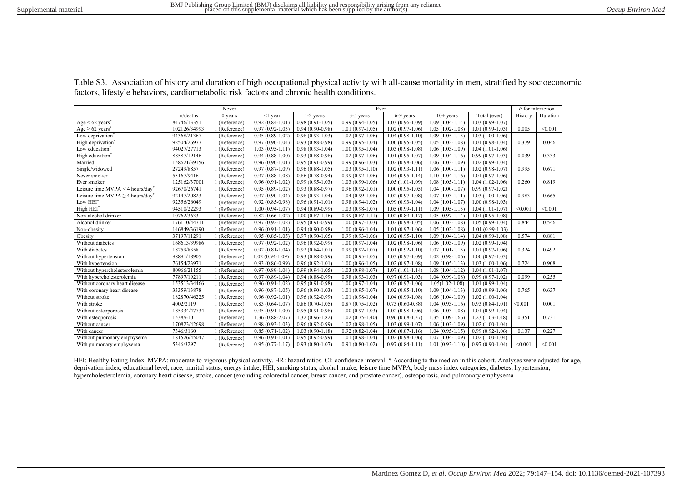|                                                   |              | Never         | Ever                |                     |                     |                     |                     |                     | P for interaction |          |
|---------------------------------------------------|--------------|---------------|---------------------|---------------------|---------------------|---------------------|---------------------|---------------------|-------------------|----------|
|                                                   | n/deaths     | $0$ years     | $\leq$ 1 year       | 1-2 years           | 3-5 years           | 6-9 years           | $10+$ years         | Total (ever)        | History           | Duration |
| Age < 62 years                                    | 84746/13351  | 1 (Reference) | $0.92(0.84-1.01)$   | $0.98(0.91-1.05)$   | $0.99(0.94-1.05)$   | $1.03(0.96 - 1.09)$ | $1.09(1.04-1.14)$   | $1.03(0.99-1.07)$   |                   |          |
| Age $\geq 62$ years <sup>*</sup>                  | 102126/34993 | 1 (Reference) | $0.97(0.92 - 1.03)$ | $0.94(0.90-0.98)$   | $1.01(0.97-1.05)$   | $1.02(0.97-1.06)$   | $1.05(1.02-1.08)$   | $1.01(0.99-1.03)$   | 0.005             | < 0.001  |
| Low deprivation                                   | 94368/21367  | 1 (Reference) | $0.95(0.89-1.02)$   | $0.98(0.93-1.03)$   | $1.02(0.97-1.06)$   | $1.04(0.98-1.10)$   | $1.09(1.05-1.13)$   | $1.03(1.00-1.06)$   |                   |          |
| High deprivation <sup>*</sup>                     | 92504/26977  | 1 (Reference) | $0.97(0.90-1.04)$   | $0.93(0.88-0.98)$   | $0.99(0.95-1.04)$   | $1.00(0.95 - 1.05)$ | $1.05(1.02-1.08)$   | $1.01(0.98-1.04)$   | 0.379             | 0.046    |
| Low education <sup>*</sup>                        | 94027/27713  | 1 (Reference) | $1.03(0.95-1.11)$   | $0.98(0.93-1.04)$   | $1.00(0.95-1.04)$   | $1.03(0.98-1.08)$   | $1.06(1.03-1.09)$   | $1.04(1.01-1.06)$   |                   |          |
| High education*                                   | 88587/19146  | 1 (Reference) | $0.94(0.88-1.00)$   | $0.93(0.88-0.98)$   | $1.02(0.97-1.06)$   | $1.01(0.95-1.07)$   | $1.09(1.04-1.16)$   | $0.99(0.97-1.03)$   | 0.039             | 0.333    |
| Married                                           | 158621/39156 | 1 (Reference) | $0.96(0.90-1.01)$   | $0.95(0.91-0.99)$   | $0.99(0.96-1.03)$   | $1.02(0.98-1.06)$   | $1.06(1.03-1.09)$   | $1.02(0.99-1.04)$   |                   |          |
| Single/widowed                                    | 27249/8857   | 1 (Reference) | $0.97(0.87-1.09)$   | $0.96(0.88-1.05)$   | $1.03(0.95-1.10)$   | $1.02(0.93 - 1.11)$ | $1.06(1.00-1.11)$   | $1.02(0.98-1.07)$   | 0.995             | 0.671    |
| Never smoker                                      | 55167/9416   | 1 (Reference) | $0.97(0.88-1.08)$   | $0.86(0.78-0.94)$   | $0.99(0.92 - 1.06)$ | $1.04(0.95-1.14)$   | $1.10(1.04-1.16)$   | $1.01(0.97-1.06)$   |                   |          |
| Ever smoker                                       | 125162/37001 | 1 (Reference) | $0.96(0.91-1.02)$   | $0.99(0.95-1.03)$   | $1.03(0.99-1.06)$   | $1.05(1.01-1.09)$   | $1.08(1.05-1.11)$   | $1.04(1.02-1.06)$   | 0.260             | 0.819    |
| Leisure time MVPA < 4 hours/day                   | 92670/26741  | 1 (Reference) | $0.95(0.89-1.02)$   | $0.93(0.88-0.97)$   | $0.96(0.92 - 1.01)$ | $1.00(0.95-1.05)$   | $1.04(1.00-1.07)$   | $0.99(0.97-1.02)$   |                   |          |
| Leisure time MVPA $\geq$ 4 hours/day <sup>*</sup> | 92147/20823  | 1 (Reference) | $0.97(0.90-1.04)$   | $0.98(0.93-1.04)$   | $1.04(0.99-1.08)$   | $1.02(0.97-1.08)$   | $1.07(1.03-1.11)$   | $1.03(1.00-1.06)$   | 0.983             | 0.665    |
| Low HEI <sup>*</sup>                              | 92356/26049  | 1 (Reference) | $0.92(0.85-0.98)$   | $0.96(0.91-1.01)$   | $0.98(0.94-1.02)$   | $0.99(0.93 - 1.04)$ | $1.04(1.01-1.07)$   | $1.00(0.98-1.03)$   |                   |          |
| High HEI*                                         | 94510/22293  | 1 (Reference) | $1.00(0.94-1.07)$   | $0.94(0.89-0.99)$   | $1.03(0.98-1.07)$   | $1.05(0.99-1.11)$   | $1.09(1.05-1.13)$   | $1.04(1.01-1.07)$   | < 0.001           | < 0.001  |
| Non-alcohol drinker                               | 10762/3633   | 1 (Reference) | $0.82(0.66-1.02)$   | $1.00(0.87-1.16)$   | $0.99(0.87-1.11)$   | $1.02(0.89 - 1.17)$ | $1.05(0.97-1.14)$   | $1.01(0.95-1.08)$   |                   |          |
| Alcohol drinker                                   | 176110/44711 | 1 (Reference) | $0.97(0.92 - 1.02)$ | $0.95(0.91-0.99)$   | $1.00(0.97-1.03)$   | $1.02(0.98-1.05)$   | $1.06(1.03-1.08)$   | $1.05(0.99-1.04)$   | 0.844             | 0.546    |
| Non-obesity                                       | 146849/36190 | 1 (Reference) | $0.96(0.91-1.01)$   | $0.94(0.90-0.98)$   | $1.00(0.96-1.04)$   | $1.01(0.97-1.06)$   | $1.05(1.02-1.08)$   | $1.01(0.99-1.03)$   |                   |          |
| Obesity                                           | 37197/11291  | 1 (Reference) | $0.95(0.85-1.05)$   | $0.97(0.90-1.05)$   | $0.99(0.93-1.06)$   | $1.02(0.95 - 1.10)$ | $1.09(1.04-1.14)$   | $1.04(0.99-1.08)$   | 0.574             | 0.881    |
| Without diabetes                                  | 168613/39986 | 1 (Reference) | $0.97(0.92 - 1.02)$ | $0.96(0.92-0.99)$   | $1.00(0.97-1.04)$   | $1.02(0.98-1.06)$   | $1.06(1.03-1.09)$   | $1.02(0.99-1.04)$   |                   |          |
| With diabetes                                     | 18259/8358   | 1 (Reference) | $0.92(0.81-1.04)$   | $0.92(0.84-1.01)$   | $0.99(0.92 - 1.07)$ | $1.01(0.92 - 1.10)$ | $1.07(1.01-1.13)$   | $1.01(0.97-1.06)$   | 0.324             | 0.492    |
| Without hypertension                              | 88881/18905  | 1 (Reference) | $1.02(0.94-1.09)$   | $0.93(0.88-0.99)$   | $1.00(0.95-1.05)$   | $1.03(0.97-1.09)$   | $1.02(0.98-1.06)$   | $1.00(0.97-1.03)$   |                   |          |
| With hypertension                                 | 76154/23971  | 1 (Reference) | $0.93(0.86-0.99)$   | $0.96(0.92 - 1.01)$ | $1.00(0.96-1.05)$   | $1.02(0.97-1.08)$   | $1.09(1.05-1.13)$   | $1.03(1.00-1.06)$   | 0.724             | 0.908    |
| Without hypercholesterolemia                      | 80966/21155  | 1 (Reference) | $0.97(0.89-1.04)$   | $0.99(0.94-1.05)$   | $1.03(0.98-1.07)$   | $1.07(1.01-1.14)$   | $1.08(1.04-1.12)$   | $1.04(1.01-1.07)$   |                   |          |
| With hypercholesterolemia                         | 77897/19211  | 1 (Reference) | $0.97(0.89-1.04)$   | $0.94(0.88-0.99)$   | $0.98(0.93-1.03)$   | $0.97(0.91 - 1.03)$ | $1.04(0.99-1.08)$   | $0.99(0.97-1.02)$   | 0.099             | 0.255    |
| Without coronary heart disease                    | 153513/34466 | 1 (Reference) | $0.96(0.91-1.02)$   | $0.95(0.91-0.98)$   | $1.00(0.97-1.04)$   | $1.02(0.97-1.06)$   | $1.05(1.02 - 1.08)$ | $1.01(0.99-1.04)$   |                   |          |
| With coronary heart disease                       | 33359/13878  | 1 (Reference) | $0.96(0.87-1.05)$   | $0.96(0.90-1.03)$   | $1.01(0.95-1.07)$   | $1.02(0.95-1.10)$   | $1.09(1.04-1.13)$   | $1.03(0.99-1.06)$   | 0.765             | 0.637    |
| Without stroke                                    | 182870/46225 | 1 (Reference) | $0.96(0.92 - 1.01)$ | $0.96(0.92-0.99)$   | $1.01(0.98-1.04)$   | $1.04(0.99-1.08)$   | $1.06(1.04-1.09)$   | $1.02(1.00-1.04)$   |                   |          |
| With stroke                                       | 4002/2119    | 1 (Reference) | $0.83(0.64-1.07)$   | $0.86(0.70-1.05)$   | $0.87(0.75-1.02)$   | $0.73(0.60-0.88)$   | $1.04(0.93-1.16)$   | $0.93(0.84-1.01)$   | < 0.001           | 0.001    |
| Without osteoporosis                              | 185334/47734 | 1 (Reference) | $0.95(0.91-1.00)$   | $0.95(0.91-0.98)$   | $1.00(0.97-1.03)$   | $1.02(0.98-1.06)$   | $1.06(1.03-1.08)$   | $1.01(0.99-1.04)$   |                   |          |
| With osteoporosis                                 | 1538/610     | 1 (Reference) | $1.36(0.88-2.07)$   | $1.32(0.96 - 1.82)$ | $1.02(0.75-1.40)$   | $0.96(0.68-1.37)$   | $1.35(1.09-1.66)$   | $1.23(1.03-1.48)$   | 0.351             | 0.731    |
| Without cancer                                    | 170823/42698 | 1 (Reference) | $0.98(0.93-1.03)$   | $0.96(0.92-0.99)$   | $1.02(0.98-1.05)$   | $1.03(0.99-1.07)$   | $1.06(1.03-1.09)$   | $1.02(1.00-1.04)$   |                   |          |
| With cancer                                       | 7346/3160    | 1 (Reference) | $0.85(0.71-1.02)$   | $1.03(0.90-1.18)$   | $0.92(0.82 - 1.04)$ | $1.00(0.87-1.16)$   | $1.04(0.95-1.15)$   | $0.99(0.92 - 1.06)$ | 0.137             | 0.227    |
| Without pulmonary emphysema                       | 181526/45047 | 1 (Reference) | $0.96(0.91-1.01)$   | $0.95(0.92-0.99)$   | $1.01(0.98-1.04)$   | $1.02(0.98-1.06)$   | $1.07(1.04-1.09)$   | $1.02(1.00-1.04)$   |                   |          |
| With pulmonary emphysema                          | 5346/3297    | 1 (Reference) | $0.95(0.77-1.17)$   | $0.93(0.80-1.07)$   | $0.91(0.80-1.02)$   | $0.97(0.84-1.11)$   | $1.01(0.93-1.10)$   | $0.97(0.90-1.04)$   | < 0.001           | < 0.001  |

Table S3. Association of history and duration of high occupational physical activity with all-cause mortality in men, stratified by socioeconomic factors, lifestyle behaviors, cardiometabolic risk factors and chronic health conditions.

HEI: Healthy Eating Index. MVPA: moderate-to-vigorous physical activity. HR: hazard ratios. CI: confidence interval. \* According to the median in this cohort. Analyses were adjusted for age, deprivation index, educational level, race, marital status, energy intake, HEI, smoking status, alcohol intake, leisure time MVPA, body mass index categories, diabetes, hypertension, hypercholesterolemia, coronary heart disease, stroke, cancer (excluding colorectal cancer, breast cancer, and prostate cancer), osteoporosis, and pulmonary emphysema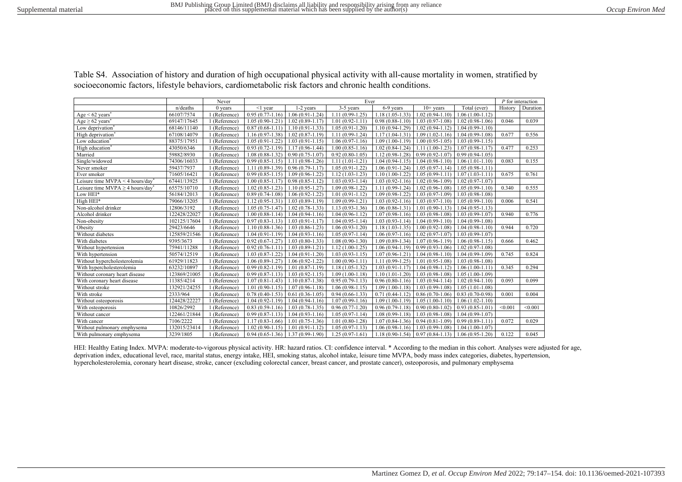Table S4. Association of history and duration of high occupational physical activity with all-cause mortality in women, stratified by socioeconomic factors, lifestyle behaviors, cardiometabolic risk factors and chronic health conditions.

|                                       |              | Never         | Ever                               |                     |                     |                     |                     |                     | $P$ for interaction |          |
|---------------------------------------|--------------|---------------|------------------------------------|---------------------|---------------------|---------------------|---------------------|---------------------|---------------------|----------|
|                                       | n/deaths     | $0$ years     | $\leq$ 1 year                      | 1-2 years           | 3-5 years           | 6-9 years           | $10+$ years         | Total (ever)        | History             | Duration |
| $Age \le 62 \text{ years}$            | 66107/7574   | 1 (Reference) | $0.95(0.77-1.16)$                  | $1.06(0.91-1.24)$   | $1.11(0.99-1.25)$   | $1.18(1.05-1.33)$   | $1.02(0.94-1.10)$   | $1.06(1.00-1.12)$   |                     |          |
| $Age \ge 62 \text{ years}$            | 69147/17645  | 1 (Reference) | $1.05(0.90-1.21)$                  | $1.02(0.89-1.17)$   | $1.01(0.92 - 1.11)$ | $0.98(0.88-1.10)$   | $1.03(0.97-1.08)$   | $1.02(0.98-1.06)$   | 0.046               | 0.039    |
| Low deprivation                       | 68146/11140  | 1 (Reference) | $0.87(0.68-1.11)$                  | $1.10(0.91-1.33)$   | $1.05(0.91-1.20)$   | $1.10(0.94-1.29)$   | $1.02(0.94-1.12)$   | $1.04(0.99-1.10)$   |                     |          |
| High deprivation*                     | 67108/14079  | 1 (Reference) | $1.16(0.97-1.38)$                  | $1.02(0.87-1.19)$   | $1.11(0.99-1.24)$   | $1.17(1.04-1.31)$   | $1.09(1.02-1.16)$   | $1.04(0.99-1.08)$   | 0.677               | 0.556    |
| Low education <sup>*</sup>            | 88375/17951  | 1 (Reference) | $1.05(0.91-1.22)$                  | $1.03(0.91-1.15)$   | $1.06(0.97-1.16)$   | $1.09(1.00-1.19)$   | $1.00(0.95-1.05)$   | $1.03(0.99-1.15)$   |                     |          |
| High education <sup>*</sup>           | 43050/6346   | 1 (Reference) | $0.93(0.72 - 1.19)$                | $1.17(0.96 - 1.44)$ | $1.00(0.85-1.16)$   | $1.02(0.84-1.24)$   | $1.11(1.00-1.23)$   | $1.07(0.98-1.17)$   | 0.477               | 0.253    |
| Married                               | 59882/8930   | 1 (Reference) | $1.08(0.88-1.32)$                  | $0.90(0.75-1.07)$   | $0.92(0.80-1.05)$   | $1.12(0.98-1.28)$   | $0.99(0.92 - 1.07)$ | $0.99(0.94-1.05)$   |                     |          |
| Single/widowed                        | 74306/16033  | 1 (Reference) | $0.99(0.85-1.15)$                  | $1.11(0.98-1.26)$   | $1.11(1.01-1.21)$   | $1.04(0.94-1.15)$   | $1.04(0.98-1.10)$   | $1.06(1.01-1.10)$   | 0.083               | 0.155    |
| Never smoker                          | 59437/7937   | 1 (Reference) | $1.11(0.89-1.39)$                  | $0.96(0.79-1.17)$   | $1.05(0.91-1.22)$   | $1.06(0.91-1.24)$   | $1.05(0.97-1.14)$   | $1.05(0.98-1.11)$   |                     |          |
| Ever smoker                           | 71605/16421  | 1 (Reference) | $0.99(0.85-1.15)$                  | $1.09(0.96 - 1.22)$ | $1.12(1.03-1.23)$   | $1.10(1.00-1.22)$   | $1.05(0.99-1.11)$   | $1.07(1.03-1.11)$   | 0.675               | 0.761    |
| Leisure time MVPA < 4 hours/day       | 67441/13925  | 1 (Reference) | $1.00(0.85-1.17)$                  | $0.98(0.85-1.12)$   | $1.03(0.93-1.14)$   | $1.03(0.92 - 1.16)$ | $1.02(0.96-1.09)$   | $1.02(0.97-1.07)$   |                     |          |
| Leisure time MVPA $\geq$ 4 hours/day' | 65575/10710  | 1 (Reference) | $1.02(0.85-1.23)$                  | $1.10(0.95 - 1.27)$ | $1.09(0.98-1.22)$   | $1.11(0.99-1.24)$   | $1.02(0.96 - 1.08)$ | $1.05(0.99-1.10)$   | 0.340               | 0.555    |
| Low HEI*                              | 56184/12013  | 1 (Reference) | $0.89(0.74-1.08)$                  | $1.06(0.92 - 1.22)$ | $1.01(0.91-1.12)$   | $1.09(0.98-1.22)$   | $1.03(0.97-1.09)$   | $1.03(0.98-1.08)$   |                     |          |
| High HEI*                             | 79066/13205  | 1 (Reference) | $1.12(0.95-1.31)$                  | $1.03(0.89-1.19)$   | $1.09(0.99-1.21)$   | $1.03(0.92 - 1.16)$ | $1.03(0.97-1.10)$   | $1.05(0.99-1.10)$   | 0.006               | 0.541    |
| Non-alcohol drinker                   | 12806/3192   | 1 (Reference) | $1.05(0.75-1.47)$                  | $1.02(0.78-1.33)$   | $1.13(0.93-1.36)$   | $1.06(0.86 - 1.31)$ | $1.01(0.90-1.13)$   | $1.04(0.95-1.13)$   |                     |          |
| Alcohol drinker                       | 122428/22027 | 1 (Reference) | $1.00(0.88-1.14)$                  | $1.04(0.94-1.16)$   | $1.04(0.96-1.12)$   | $1.07(0.98-1.16)$   | 1.03 (0.98-1.08)    | $1.03(0.99 - 1.07)$ | 0.940               | 0.776    |
| Non-obesity                           | 102125/17604 | 1 (Reference) | $0.97(0.83 - 1.13)$                | $1.03(0.91 - 1.17)$ | $1.04(0.95-1.14)$   | $1.03(0.93-1.14)$   | $1.04(0.99-1.10)$   | $1.04(0.99-1.08)$   |                     |          |
| Obesity                               | 29423/6646   | 1 (Reference) | $1.10(0.88-1.36)$                  | $1.03(0.86-1.23)$   | $1.06(0.93-1.20)$   | $1.18(1.03 - 1.35)$ | $1.00(0.92 - 1.08)$ | $1.04(0.98-1.10)$   | 0.944               | 0.720    |
| Without diabetes                      | 125859/21546 | 1 (Reference) | $1.04(0.91-1.19)$                  | $1.04(0.93-1.16)$   | $1.05(0.97-1.14)$   | $1.06(0.97-1.16)$   | $1.02(0.97-1.07)$   | $1.03(0.99-1.07)$   |                     |          |
| With diabetes                         | 9395/3673    | 1 (Reference) | $0.92(0.67-1.27)$                  | $1.03(0.80-1.33)$   | $1.08(0.90-1.30)$   | $1.09(0.89-1.34)$   | $1.07(0.96-1.19)$   | $1.06(0.98-1.15)$   | 0.666               | 0.462    |
| Without hypertension                  | 75941/11288  | 1 (Reference) | $0.92(0.76-1.11)$                  | $1.03(0.89-1.21)$   | $1.12(1.00-1.25)$   | $1.06(0.94-1.19)$   | $0.99(0.93-1.06)$   | $1.02(0.97-1.08)$   |                     |          |
| With hypertension                     | 50574/12519  | 1 (Reference) | $1.03(0.87-1.22)$                  | $1.04(0.91-1.20)$   | $1.03(0.93-1.15)$   | $1.07(0.96 - 1.21)$ | $1.04(0.98-1.10)$   | $1.04(0.99-1.09)$   | 0.745               | 0.824    |
| Without hypercholesterolemia          | 61929/11823  | 1 (Reference) | $1.06(0.89-1.27)$                  | $1.06(0.92-1.22)$   | $1.00(0.90-1.11)$   | $1.11(0.99-1.25)$   | $1.01(0.95-1.08)$   | $1.03(0.98-1.08)$   |                     |          |
| With hypercholesterolemia             | 63232/10897  | 1 (Reference) | $0.99(0.82-1.19)$                  | $1.01(0.87-1.19)$   | $1.18(1.05-1.32)$   | $1.03(0.91 - 1.17)$ | $1.04(0.98-1.12)$   | $1.06(1.00-1.11)$   | 0.345               | 0.294    |
| Without coronary heart disease        | 123869/21005 | 1 (Reference) | $0.99(0.87-1.13)$                  | $1.03(0.92 - 1.15)$ | $1.09(1.00-1.18)$   | $1.10(1.01-1.20)$   | $1.03(0.98-1.08)$   | $1.05(1.00-1.09)$   |                     |          |
| With coronary heart disease           | 11385/4214   | 1 (Reference) | $1.07(0.81 - 1.43)$                | $1.10(0.87-1.38)$   | $0.95(0.79-1.13)$   | $0.96(0.80-1.16)$   | $1.03(0.94-1.14)$   | $1.02(0.94-1.10)$   | 0.093               | 0.099    |
| Without stroke                        | 132921/24255 | 1 (Reference) | $1.01(0.90-1.15)$                  | $1.07(0.96 - 1.18)$ | $1.06(0.98-1.15)$   | $1.09(1.00-1.18)$   | $1.03(0.99-1.08)$   | $1.05(1.01-1.08)$   |                     |          |
| With stroke                           | 2333/964     | 1 (Reference) | $0.78(0.40-1.53)$                  | $0.61(0.36-1.05)$   | $0.94(0.66-1.33)$   | $0.71(0.44-1.12)$   | $0.86(0.70-1.06)$   | $0.83(0.70-0.98)$   | 0.001               | 0.004    |
| Without osteoporosis                  | 124428/22227 | 1 (Reference) | $1.04(0.92 - 1.19)$                | $1.04(0.94-1.16)$   | $1.07(0.99-1.16)$   | $1.09(1.00-1.19)$   | $1.05(1.00-1.10)$   | $1.06(1.02-1.10)$   |                     |          |
| With osteoporosis                     | 10826/2992   | 1 (Reference) | $0.83(0.59-1.16)$                  | $1.03(0.78-1.35)$   | $0.96(0.77-1.20)$   | $0.96(0.79-1.18)$   | $0.90(0.80-1.02)$   | $0.93(0.85-1.01)$   | < 0.001             | < 0.001  |
| Without cancer                        | 122461/21844 | 1 (Reference) | $0.99(0.87-1.13)$                  | $1.04(0.93-1.16)$   | $1.05(0.97-1.14)$   | $1.08(0.99-1.18)$   | $1.03(0.98-1.08)$   | $1.04(0.99-1.07)$   |                     |          |
| With cancer                           | 7106/2222    | 1 (Reference) | $1.17(0.83 - 1.66)$                | $1.01(0.75-1.36)$   | $1.01(0.80-1.28)$   | $1.07(0.84-1.36)$   | $0.94(0.81-1.09)$   | $0.99(0.89-1.11)$   | 0.072               | 0.029    |
| Without pulmonary emphysema           | 132015/23414 | 1 (Reference) | $1.02(0.90-1.15)$                  | $1.01(0.91-1.12)$   | $1.05(0.97-1.13)$   | $1.06(0.98-1.16)$   | $1.03(0.99-1.08)$   | $1.04(1.00-1.07)$   |                     |          |
| With pulmonary emphysema              | 3239/1805    | 1 (Reference) | $0.94(0.65-1.36)$ 1.37 (0.99-1.90) |                     | $1.25(0.97-1.61)$   | $1.18(0.90-1.54)$   | $0.97(0.84-1.13)$   | $1.06(0.95-1.20)$   | 0.122               | 0.045    |

HEI: Healthy Eating Index. MVPA: moderate-to-vigorous physical activity. HR: hazard ratios. CI: confidence interval. \* According to the median in this cohort. Analyses were adjusted for age, deprivation index, educational level, race, marital status, energy intake, HEI, smoking status, alcohol intake, leisure time MVPA, body mass index categories, diabetes, hypertension, hypercholesterolemia, coronary heart disease, stroke, cancer (excluding colorectal cancer, breast cancer, and prostate cancer), osteoporosis, and pulmonary emphysema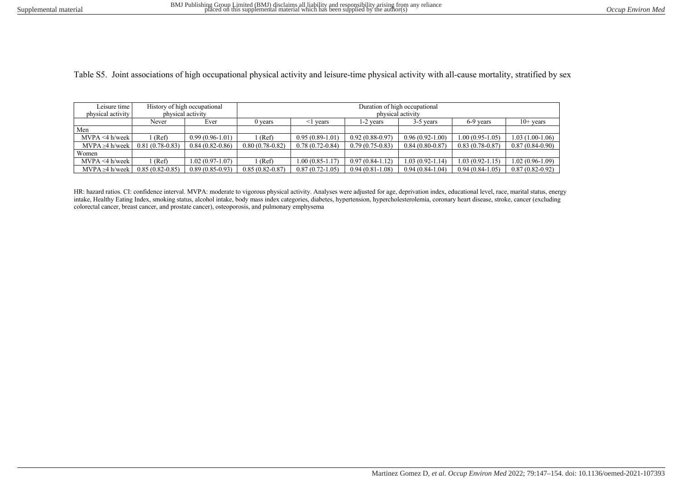Table S5. Joint associations of high occupational physical activity and leisure-time physical activity with all-cause mortality, stratified by sex

| Leisure time I       |                   | History of high occupational |                     | Duration of high occupational |                   |                     |                     |                   |  |
|----------------------|-------------------|------------------------------|---------------------|-------------------------------|-------------------|---------------------|---------------------|-------------------|--|
| physical activity    |                   | physical activity            | physical activity   |                               |                   |                     |                     |                   |  |
|                      | Never             | Ever                         | $0$ vears           | $\leq$ 1 vears                | 1-2 years         | $3-5$ years         | 6-9 years           | $10+$ years       |  |
| Men                  |                   |                              |                     |                               |                   |                     |                     |                   |  |
| $MVPA \leq 4$ h/week | l (Ref)           | $0.99(0.96-1.01)$            | l (Ref)             | $0.95(0.89-1.01)$             | $0.92(0.88-0.97)$ | $0.96(0.92-1.00)$   | $1.00(0.95-1.05)$   | $1.03(1.00-1.06)$ |  |
| MVPA > 4 h/week      | $0.81(0.78-0.83)$ | $0.84(0.82-0.86)$            | $0.80(0.78-0.82)$   | $0.78(0.72-0.84)$             | $0.79(0.75-0.83)$ | $0.84(0.80-0.87)$   | $0.83(0.78-0.87)$   | $0.87(0.84-0.90)$ |  |
| Women                |                   |                              |                     |                               |                   |                     |                     |                   |  |
| $MVPA \leq 4$ h/week | l (Ref)           | $1.02(0.97-1.07)$            | l (Ref)             | $1.00(0.85 - 1.17)$           | $0.97(0.84-1.12)$ | $1.03(0.92 - 1.14)$ | $1.03(0.92 - 1.15)$ | 1.02 (0.96-1.09)  |  |
| $MVPA > 4$ h/week    | $0.85(0.82-0.85)$ | $0.89(0.85-0.93)$            | $0.85(0.82 - 0.87)$ | $0.87(0.72-1.05)$             | $0.94(0.81-1.08)$ | $0.94(0.84-1.04)$   | $0.94(0.84-1.05)$   | $0.87(0.82-0.92)$ |  |

HR: hazard ratios. CI: confidence interval. MVPA: moderate to vigorous physical activity. Analyses were adjusted for age, deprivation index, educational level, race, marital status, energy intake, Healthy Eating Index, smoking status, alcohol intake, body mass index categories, diabetes, hypertension, hypercholesterolemia, coronary heart disease, stroke, cancer (excluding colorectal cancer, breast cancer, and prostate cancer), osteoporosis, and pulmonary emphysema